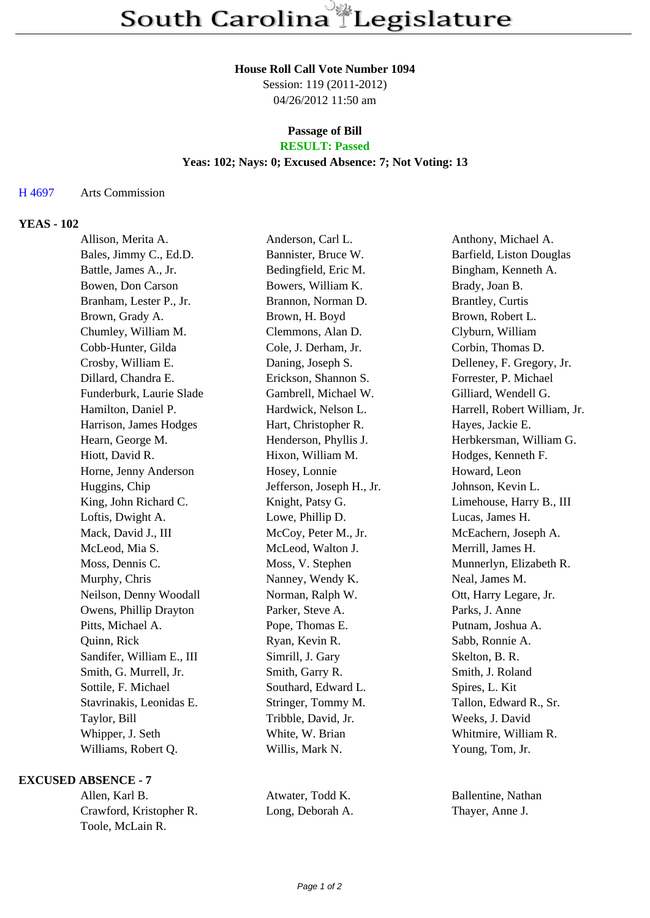#### **House Roll Call Vote Number 1094**

Session: 119 (2011-2012) 04/26/2012 11:50 am

#### **Passage of Bill RESULT: Passed**

### **Yeas: 102; Nays: 0; Excused Absence: 7; Not Voting: 13**

### H 4697 Arts Commission

# **YEAS - 102**

| Allison, Merita A.        | Anderson, Carl L.         | Anthony, Michael A.          |
|---------------------------|---------------------------|------------------------------|
| Bales, Jimmy C., Ed.D.    | Bannister, Bruce W.       | Barfield, Liston Douglas     |
| Battle, James A., Jr.     | Bedingfield, Eric M.      | Bingham, Kenneth A.          |
| Bowen, Don Carson         | Bowers, William K.        | Brady, Joan B.               |
| Branham, Lester P., Jr.   | Brannon, Norman D.        | <b>Brantley, Curtis</b>      |
| Brown, Grady A.           | Brown, H. Boyd            | Brown, Robert L.             |
| Chumley, William M.       | Clemmons, Alan D.         | Clyburn, William             |
| Cobb-Hunter, Gilda        | Cole, J. Derham, Jr.      | Corbin, Thomas D.            |
| Crosby, William E.        | Daning, Joseph S.         | Delleney, F. Gregory, Jr.    |
| Dillard, Chandra E.       | Erickson, Shannon S.      | Forrester, P. Michael        |
| Funderburk, Laurie Slade  | Gambrell, Michael W.      | Gilliard, Wendell G.         |
| Hamilton, Daniel P.       | Hardwick, Nelson L.       | Harrell, Robert William, Jr. |
| Harrison, James Hodges    | Hart, Christopher R.      | Hayes, Jackie E.             |
| Hearn, George M.          | Henderson, Phyllis J.     | Herbkersman, William G.      |
| Hiott, David R.           | Hixon, William M.         | Hodges, Kenneth F.           |
| Horne, Jenny Anderson     | Hosey, Lonnie             | Howard, Leon                 |
| Huggins, Chip             | Jefferson, Joseph H., Jr. | Johnson, Kevin L.            |
| King, John Richard C.     | Knight, Patsy G.          | Limehouse, Harry B., III     |
| Loftis, Dwight A.         | Lowe, Phillip D.          | Lucas, James H.              |
| Mack, David J., III       | McCoy, Peter M., Jr.      | McEachern, Joseph A.         |
| McLeod, Mia S.            | McLeod, Walton J.         | Merrill, James H.            |
| Moss, Dennis C.           | Moss, V. Stephen          | Munnerlyn, Elizabeth R.      |
| Murphy, Chris             | Nanney, Wendy K.          | Neal, James M.               |
| Neilson, Denny Woodall    | Norman, Ralph W.          | Ott, Harry Legare, Jr.       |
| Owens, Phillip Drayton    | Parker, Steve A.          | Parks, J. Anne               |
| Pitts, Michael A.         | Pope, Thomas E.           | Putnam, Joshua A.            |
| Quinn, Rick               | Ryan, Kevin R.            | Sabb, Ronnie A.              |
| Sandifer, William E., III | Simrill, J. Gary          | Skelton, B. R.               |
| Smith, G. Murrell, Jr.    | Smith, Garry R.           | Smith, J. Roland             |
| Sottile, F. Michael       | Southard, Edward L.       | Spires, L. Kit               |
| Stavrinakis, Leonidas E.  | Stringer, Tommy M.        | Tallon, Edward R., Sr.       |
| Taylor, Bill              | Tribble, David, Jr.       | Weeks, J. David              |
| Whipper, J. Seth          | White, W. Brian           | Whitmire, William R.         |
| Williams, Robert Q.       | Willis, Mark N.           | Young, Tom, Jr.              |
|                           |                           |                              |

### **EXCUSED ABSENCE - 7**

| Allen, Karl B.          |
|-------------------------|
| Crawford, Kristopher R. |
| Toole, McLain R.        |

Atwater, Todd K. Ballentine, Nathan Long, Deborah A. Thayer, Anne J.